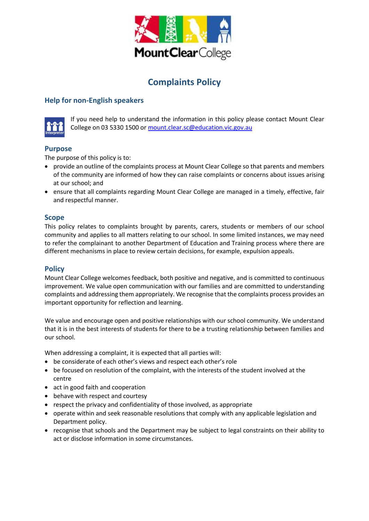

# **Complaints Policy**

## **Help for non-English speakers**



If you need help to understand the information in this policy please contact Mount Clear College on 03 5330 1500 o[r mount.clear.sc@education.vic.gov.au](mailto:mount.clear.sc@education.vic.gov.au)

### **Purpose**

The purpose of this policy is to:

- provide an outline of the complaints process at Mount Clear College so that parents and members of the community are informed of how they can raise complaints or concerns about issues arising at our school; and
- ensure that all complaints regarding Mount Clear College are managed in a timely, effective, fair and respectful manner.

#### **Scope**

This policy relates to complaints brought by parents, carers, students or members of our school community and applies to all matters relating to our school. In some limited instances, we may need to refer the complainant to another Department of Education and Training process where there are different mechanisms in place to review certain decisions, for example, expulsion appeals.

#### **Policy**

Mount Clear College welcomes feedback, both positive and negative, and is committed to continuous improvement. We value open communication with our families and are committed to understanding complaints and addressing them appropriately. We recognise that the complaints process provides an important opportunity for reflection and learning.

We value and encourage open and positive relationships with our school community. We understand that it is in the best interests of students for there to be a trusting relationship between families and our school.

When addressing a complaint, it is expected that all parties will:

- be considerate of each other's views and respect each other's role
- be focused on resolution of the complaint, with the interests of the student involved at the centre
- act in good faith and cooperation
- behave with respect and courtesy
- respect the privacy and confidentiality of those involved, as appropriate
- operate within and seek reasonable resolutions that comply with any applicable legislation and Department policy.
- recognise that schools and the Department may be subject to legal constraints on their ability to act or disclose information in some circumstances.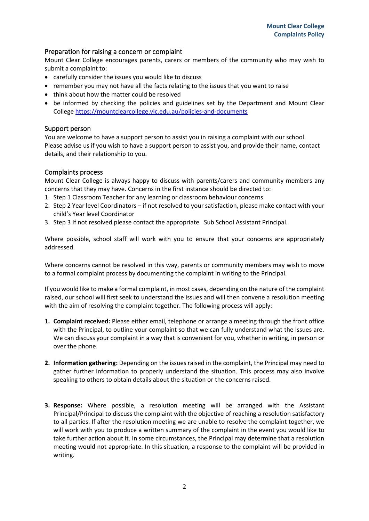#### Preparation for raising a concern or complaint

Mount Clear College encourages parents, carers or members of the community who may wish to submit a complaint to:

- carefully consider the issues you would like to discuss
- remember you may not have all the facts relating to the issues that you want to raise
- think about how the matter could be resolved
- be informed by checking the policies and guidelines set by the Department and Mount Clear College <https://mountclearcollege.vic.edu.au/policies-and-documents>

#### Support person

You are welcome to have a support person to assist you in raising a complaint with our school. Please advise us if you wish to have a support person to assist you, and provide their name, contact details, and their relationship to you.

#### Complaints process

Mount Clear College is always happy to discuss with parents/carers and community members any concerns that they may have. Concerns in the first instance should be directed to:

- 1. Step 1 Classroom Teacher for any learning or classroom behaviour concerns
- 2. Step 2 Year level Coordinators if not resolved to your satisfaction, please make contact with your child's Year level Coordinator
- 3. Step 3 If not resolved please contact the appropriate Sub School Assistant Principal.

Where possible, school staff will work with you to ensure that your concerns are appropriately addressed.

Where concerns cannot be resolved in this way, parents or community members may wish to move to a formal complaint process by documenting the complaint in writing to the Principal.

If you would like to make a formal complaint, in most cases, depending on the nature of the complaint raised, our school will first seek to understand the issues and will then convene a resolution meeting with the aim of resolving the complaint together. The following process will apply:

- **1. Complaint received:** Please either email, telephone or arrange a meeting through the front office with the Principal, to outline your complaint so that we can fully understand what the issues are. We can discuss your complaint in a way that is convenient for you, whether in writing, in person or over the phone.
- **2. Information gathering:** Depending on the issues raised in the complaint, the Principal may need to gather further information to properly understand the situation. This process may also involve speaking to others to obtain details about the situation or the concerns raised.
- **3. Response:** Where possible, a resolution meeting will be arranged with the Assistant Principal/Principal to discuss the complaint with the objective of reaching a resolution satisfactory to all parties. If after the resolution meeting we are unable to resolve the complaint together, we will work with you to produce a written summary of the complaint in the event you would like to take further action about it. In some circumstances, the Principal may determine that a resolution meeting would not appropriate. In this situation, a response to the complaint will be provided in writing.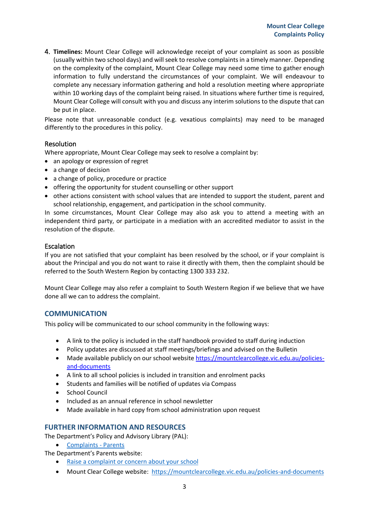4. **Timelines:** Mount Clear College will acknowledge receipt of your complaint as soon as possible (usually within two school days) and will seek to resolve complaints in a timely manner. Depending on the complexity of the complaint, Mount Clear College may need some time to gather enough information to fully understand the circumstances of your complaint. We will endeavour to complete any necessary information gathering and hold a resolution meeting where appropriate within 10 working days of the complaint being raised. In situations where further time is required, Mount Clear College will consult with you and discuss any interim solutions to the dispute that can be put in place.

Please note that unreasonable conduct (e.g. vexatious complaints) may need to be managed differently to the procedures in this policy.

#### Resolution

Where appropriate, Mount Clear College may seek to resolve a complaint by:

- an apology or expression of regret
- a change of decision
- a change of policy, procedure or practice
- offering the opportunity for student counselling or other support
- other actions consistent with school values that are intended to support the student, parent and school relationship, engagement, and participation in the school community.

In some circumstances, Mount Clear College may also ask you to attend a meeting with an independent third party, or participate in a mediation with an accredited mediator to assist in the resolution of the dispute.

#### Escalation

If you are not satisfied that your complaint has been resolved by the school, or if your complaint is about the Principal and you do not want to raise it directly with them, then the complaint should be referred to the South Western Region by contacting 1300 333 232.

Mount Clear College may also refer a complaint to South Western Region if we believe that we have done all we can to address the complaint.

#### **COMMUNICATION**

This policy will be communicated to our school community in the following ways:

- A link to the policy is included in the staff handbook provided to staff during induction
- Policy updates are discussed at staff meetings/briefings and advised on the Bulletin
- Made available publicly on our school websit[e https://mountclearcollege.vic.edu.au/policies](https://mountclearcollege.vic.edu.au/policies-and-documents)[and-documents](https://mountclearcollege.vic.edu.au/policies-and-documents)
- A link to all school policies is included in transition and enrolment packs
- Students and families will be notified of updates via Compass
- School Council
- Included as an annual reference in school newsletter
- Made available in hard copy from school administration upon request

#### **FURTHER INFORMATION AND RESOURCES**

The Department's Policy and Advisory Library (PAL):

- [Complaints -](https://www2.education.vic.gov.au/pal/complaints/policy) Parents
- The Department's Parents website:
	- [Raise a complaint or concern about your school](https://www.education.vic.gov.au/parents/going-to-school/Pages/school-complaints.aspx#policy)
	- Mount Clear College website:<https://mountclearcollege.vic.edu.au/policies-and-documents>